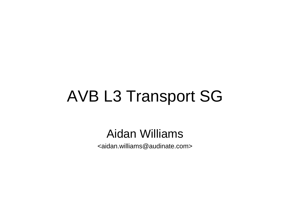#### AVB L3 Transport SG

#### Aidan Williams

<aidan.williams@audinate.com>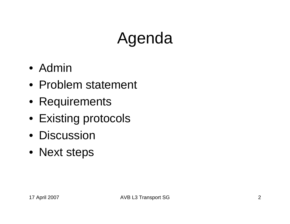## Agenda

- Admin
- Problem statement
- Requirements
- Existing protocols
- Discussion
- Next steps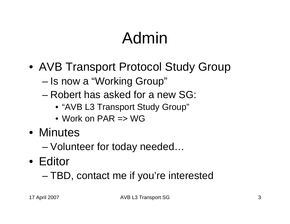## Admin

- AVB Transport Protocol Study Group
	- –Is now a "Working Group"
	- Robert has asked for a new SG:
		- "AVB L3 Transport Study Group"
		- Work on PAR => WG
- Minutes
	- –Volunteer for today needed…
- Editor
	- –TBD, contact me if you're interested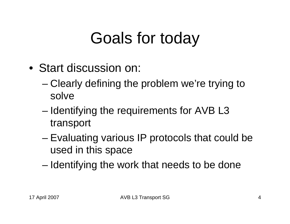### Goals for today

- Start discussion on:
	- Clearly defining the problem we're trying to solve
	- – Identifying the requirements for AVB L3 transport
	- – Evaluating various IP protocols that could be used in this space
	- Identifying the work that needs to be done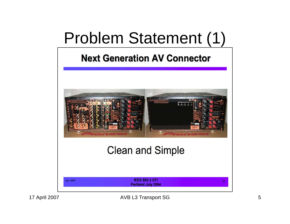#### Problem Statement (1)

#### **Next Generation AV Connector**

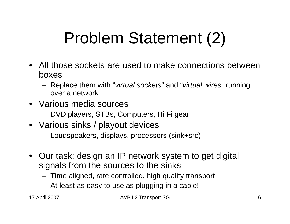## Problem Statement (2)

- All those sockets are used to make connections between boxes
	- Replace them with "*virtual sockets*" and "*virtual wires*" running over a network
- Various media sources
	- DVD players, STBs, Computers, Hi Fi gear
- Various sinks / playout devices
	- Loudspeakers, displays, processors (sink+src)
- Our task: design an IP network system to get digital signals from the sources to the sinks
	- Time aligned, rate controlled, high quality transport
	- At least as easy to use as plugging in a cable!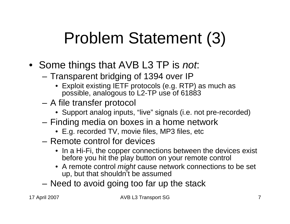### Problem Statement (3)

- Some things that AVB L3 TP is *not*:
	- – Transparent bridging of 1394 over IP
		- Exploit existing IETF protocols (e.g. RTP) as much as possible, analogous to L2-TP use of 61883
	- – A file transfer protocol
		- Support analog inputs, "live" signals (i.e. not pre-recorded)
	- Finding media on boxes in a home network
		- E.g. recorded TV, movie files, MP3 files, etc
	- Remote control for devices
		- In a Hi-Fi, the copper connections between the devices exist before you hit the play button on your remote control
		- A remote control *might* cause network connections to be set up, but that shouldn't be assumed
	- Need to avoid going too far up the stack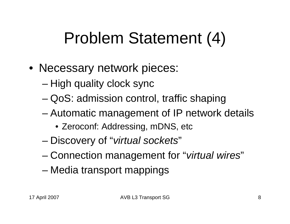### Problem Statement (4)

- Necessary network pieces:
	- High quality clock sync
	- QoS: admission control, traffic shaping
	- – Automatic management of IP network details
		- Zeroconf: Addressing, mDNS, etc
	- –Discovery of "*virtual sockets*"
	- –Connection management for "*virtual wires*"
	- –Media transport mappings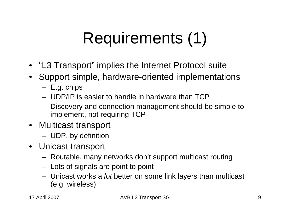## Requirements (1)

- "L3 Transport" implies the Internet Protocol suite
- Support simple, hardware-oriented implementations
	- E.g. chips
	- UDP/IP is easier to handle in hardware than TCP
	- Discovery and connection management should be simple to implement, not requiring TCP
- Multicast transport
	- UDP, by definition
- Unicast transport
	- Routable, many networks don't support multicast routing
	- Lots of signals are point to point
	- Unicast works a *lot* better on some link layers than multicast (e.g. wireless)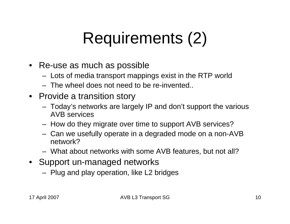## Requirements (2)

- Re-use as much as possible
	- Lots of media transport mappings exist in the RTP world
	- The wheel does not need to be re-invented..
- Provide a transition story
	- Today's networks are largely IP and don't support the various AVB services
	- How do they migrate over time to support AVB services?
	- Can we usefully operate in a degraded mode on a non-AVB network?
	- What about networks with some AVB features, but not all?
- Support un-managed networks
	- Plug and play operation, like L2 bridges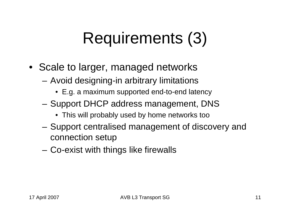## Requirements (3)

- Scale to larger, managed networks
	- – Avoid designing-in arbitrary limitations
		- E.g. a maximum supported end-to-end latency
	- Support DHCP address management, DNS
		- This will probably used by home networks too
	- Support centralised management of discovery and connection setup
	- –Co-exist with things like firewalls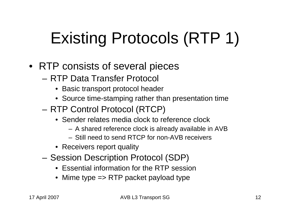# Existing Protocols (RTP 1)

- RTP consists of several pieces
	- RTP Data Transfer Protocol
		- Basic transport protocol header
		- Source time-stamping rather than presentation time
	- – RTP Control Protocol (RTCP)
		- Sender relates media clock to reference clock
			- A shared reference clock is already available in AVB
			- Still need to send RTCP for non-AVB receivers
		- Receivers report quality
	- – Session Description Protocol (SDP)
		- Essential information for the RTP session
		- Mime type => RTP packet payload type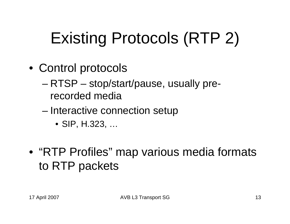## Existing Protocols (RTP 2)

- Control protocols
	- RTSP stop/start/pause, usually prerecorded media
	- – Interactive connection setup
		- SIP, H.323, …
- "RTP Profiles" map various media formats to RTP packets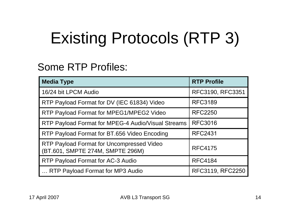## Existing Protocols (RTP 3)

#### Some RTP Profiles:

| <b>Media Type</b>                                                             | <b>RTP Profile</b> |
|-------------------------------------------------------------------------------|--------------------|
| 16/24 bit LPCM Audio                                                          | RFC3190, RFC3351   |
| RTP Payload Format for DV (IEC 61834) Video                                   | <b>RFC3189</b>     |
| RTP Payload Format for MPEG1/MPEG2 Video                                      | <b>RFC2250</b>     |
| RTP Payload Format for MPEG-4 Audio/Visual Streams                            | <b>RFC3016</b>     |
| RTP Payload Format for BT.656 Video Encoding                                  | <b>RFC2431</b>     |
| RTP Payload Format for Uncompressed Video<br>(BT.601, SMPTE 274M, SMPTE 296M) | <b>RFC4175</b>     |
| RTP Payload Format for AC-3 Audio                                             | <b>RFC4184</b>     |
| RTP Payload Format for MP3 Audio                                              | RFC3119, RFC2250   |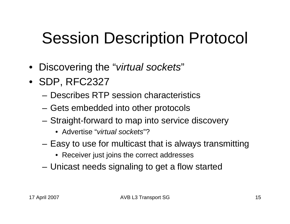## Session Description Protocol

- •Discovering the "*virtual sockets*"
- SDP, RFC2327
	- Describes RTP session characteristics
	- Gets embedded into other protocols
	- Straight-forward to map into service discovery
		- Advertise "*virtual sockets*"?
	- – Easy to use for multicast that is always transmitting
		- Receiver just joins the correct addresses
	- Unicast needs signaling to get a flow started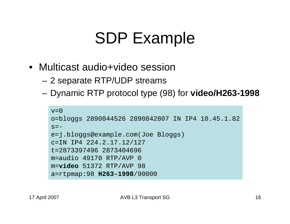#### SDP Example

- Multicast audio+video session
	- –2 separate RTP/UDP streams
	- –Dynamic RTP protocol type (98) for **video/H263-1998**

```
v=0o=bloggs 2890844526 2890842807 IN IP4 10.45.1.82
s=-e=j.bloggs@example.com(Joe Bloggs)
c=IN IP4 224.2.17.12/127
t=2873397496 2873404696m=audio 49170 RTP/AVP 0
m=video 51372 RTP/AVP 98
a=rtpmap:98 H263-1998/90000
```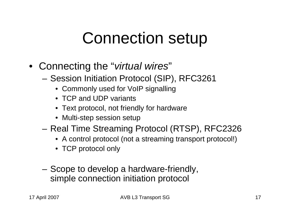#### Connection setup

- Connecting the "*virtual wires*"
	- Session Initiation Protocol (SIP), RFC3261
		- Commonly used for VoIP signalling
		- TCP and UDP variants
		- Text protocol, not friendly for hardware
		- Multi-step session setup
	- Real Time Streaming Protocol (RTSP), RFC2326
		- A control protocol (not a streaming transport protocol!)
		- TCP protocol only
	- – Scope to develop a hardware-friendly, simple connection initiation protocol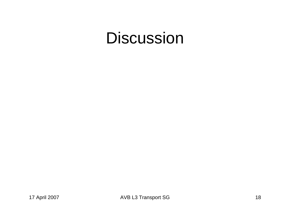#### Discussion